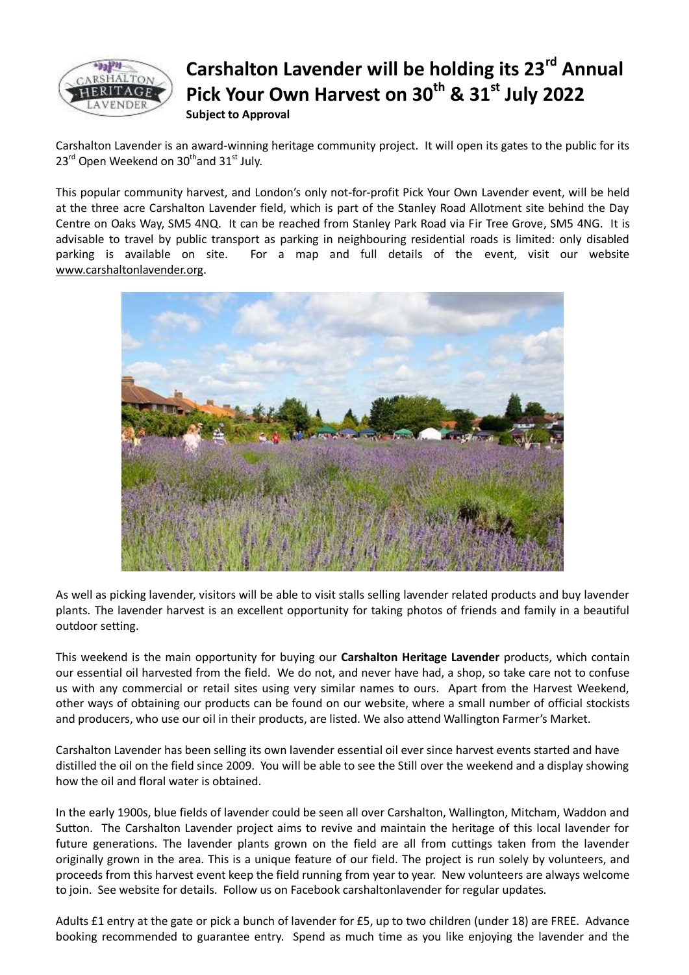

## **Carshalton Lavender will be holding its 23rd Annual Pick Your Own Harvest on 30th & 31st July 2022 Subject to Approval**

Carshalton Lavender is an award-winning heritage community project. It will open its gates to the public for its  $23^{\text{rd}}$  Open Weekend on  $30^{\text{th}}$  and  $31^{\text{st}}$  July.

This popular community harvest, and London's only not-for-profit Pick Your Own Lavender event, will be held at the three acre Carshalton Lavender field, which is part of the Stanley Road Allotment site behind the Day Centre on Oaks Way, SM5 4NQ. It can be reached from Stanley Park Road via Fir Tree Grove, SM5 4NG. It is advisable to travel by public transport as parking in neighbouring residential roads is limited: only disabled parking is available on site. For a map and full details of the event, visit our website [www.carshaltonlavender.org.](http://www.carshaltonlavender.org/)



As well as picking lavender, visitors will be able to visit stalls selling lavender related products and buy lavender plants. The lavender harvest is an excellent opportunity for taking photos of friends and family in a beautiful outdoor setting.

This weekend is the main opportunity for buying our **Carshalton Heritage Lavender** products, which contain our essential oil harvested from the field. We do not, and never have had, a shop, so take care not to confuse us with any commercial or retail sites using very similar names to ours. Apart from the Harvest Weekend, other ways of obtaining our products can be found on our website, where a small number of official stockists and producers, who use our oil in their products, are listed. We also attend Wallington Farmer's Market.

Carshalton Lavender has been selling its own lavender essential oil ever since harvest events started and have distilled the oil on the field since 2009. You will be able to see the Still over the weekend and a display showing how the oil and floral water is obtained.

In the early 1900s, blue fields of lavender could be seen all over Carshalton, Wallington, Mitcham, Waddon and Sutton. The Carshalton Lavender project aims to revive and maintain the heritage of this local lavender for future generations. The lavender plants grown on the field are all from cuttings taken from the lavender originally grown in the area. This is a unique feature of our field. The project is run solely by volunteers, and proceeds from this harvest event keep the field running from year to year. New volunteers are always welcome to join. See website for details. Follow us on Facebook carshaltonlavender for regular updates.

Adults £1 entry at the gate or pick a bunch of lavender for £5, up to two children (under 18) are FREE. Advance booking recommended to guarantee entry. Spend as much time as you like enjoying the lavender and the